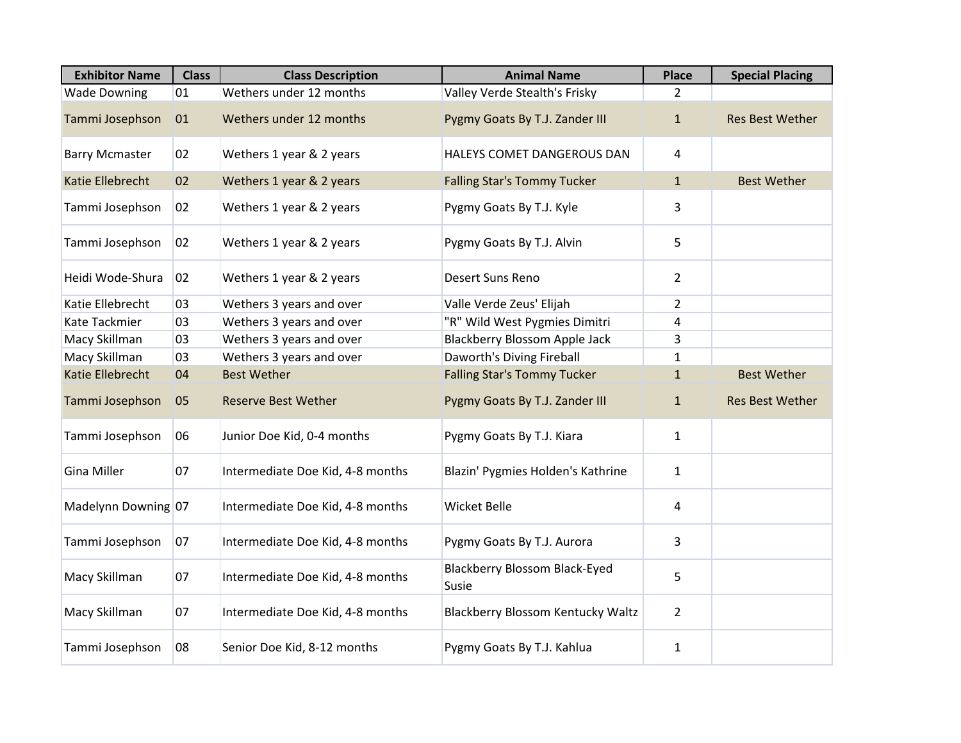| <b>Exhibitor Name</b>   | <b>Class</b> | <b>Class Description</b>         | <b>Animal Name</b>                            | <b>Place</b>   | <b>Special Placing</b> |
|-------------------------|--------------|----------------------------------|-----------------------------------------------|----------------|------------------------|
| <b>Wade Downing</b>     | 01           | Wethers under 12 months          | Valley Verde Stealth's Frisky                 | $\mathcal{L}$  |                        |
| Tammi Josephson         | 01           | Wethers under 12 months          | Pygmy Goats By T.J. Zander III                | $\mathbf{1}$   | <b>Res Best Wether</b> |
| <b>Barry Mcmaster</b>   | 02           | Wethers 1 year & 2 years         | HALEYS COMET DANGEROUS DAN                    | 4              |                        |
| <b>Katie Ellebrecht</b> | 02           | Wethers 1 year & 2 years         | <b>Falling Star's Tommy Tucker</b>            | $\mathbf{1}$   | <b>Best Wether</b>     |
| Tammi Josephson         | 02           | Wethers 1 year & 2 years         | Pygmy Goats By T.J. Kyle                      | 3              |                        |
| Tammi Josephson         | 02           | Wethers 1 year & 2 years         | Pygmy Goats By T.J. Alvin                     | 5.             |                        |
| Heidi Wode-Shura        | 02           | Wethers 1 year & 2 years         | Desert Suns Reno                              | 2              |                        |
| Katie Ellebrecht        | 03           | Wethers 3 years and over         | Valle Verde Zeus' Elijah                      | $\overline{2}$ |                        |
| Kate Tackmier           | 03           | Wethers 3 years and over         | "R" Wild West Pygmies Dimitri                 | 4              |                        |
| Macy Skillman           | 03           | Wethers 3 years and over         | <b>Blackberry Blossom Apple Jack</b>          | 3              |                        |
| Macy Skillman           | 03           | Wethers 3 years and over         | Daworth's Diving Fireball                     | 1              |                        |
| <b>Katie Ellebrecht</b> | 04           | <b>Best Wether</b>               | <b>Falling Star's Tommy Tucker</b>            | $\mathbf{1}$   | <b>Best Wether</b>     |
| Tammi Josephson         | 05           | <b>Reserve Best Wether</b>       | Pygmy Goats By T.J. Zander III                | $\mathbf{1}$   | <b>Res Best Wether</b> |
| Tammi Josephson         | 06           | Junior Doe Kid, 0-4 months       | Pygmy Goats By T.J. Kiara                     | $\mathbf{1}$   |                        |
| Gina Miller             | 07           | Intermediate Doe Kid, 4-8 months | Blazin' Pygmies Holden's Kathrine             | $\mathbf{1}$   |                        |
| Madelynn Downing 07     |              | Intermediate Doe Kid, 4-8 months | <b>Wicket Belle</b>                           | 4              |                        |
| Tammi Josephson         | 07           | Intermediate Doe Kid, 4-8 months | Pygmy Goats By T.J. Aurora                    | 3              |                        |
| Macy Skillman           | 07           | Intermediate Doe Kid, 4-8 months | <b>Blackberry Blossom Black-Eyed</b><br>Susie | 5              |                        |
| Macy Skillman           | 07           | Intermediate Doe Kid, 4-8 months | <b>Blackberry Blossom Kentucky Waltz</b>      | $\overline{2}$ |                        |
| Tammi Josephson         | 08           | Senior Doe Kid, 8-12 months      | Pygmy Goats By T.J. Kahlua                    | $\mathbf{1}$   |                        |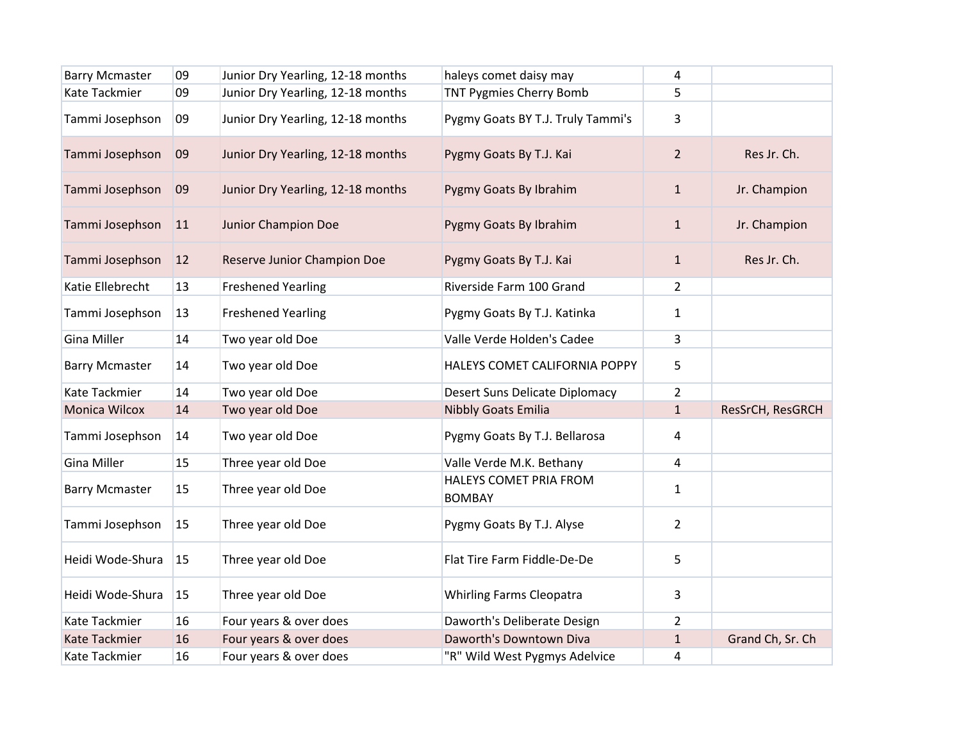| <b>Barry Mcmaster</b> | 09 | Junior Dry Yearling, 12-18 months | haleys comet daisy may                  | 4              |                  |
|-----------------------|----|-----------------------------------|-----------------------------------------|----------------|------------------|
| Kate Tackmier         | 09 | Junior Dry Yearling, 12-18 months | TNT Pygmies Cherry Bomb                 | 5              |                  |
| Tammi Josephson       | 09 | Junior Dry Yearling, 12-18 months | Pygmy Goats BY T.J. Truly Tammi's       | 3              |                  |
| Tammi Josephson       | 09 | Junior Dry Yearling, 12-18 months | Pygmy Goats By T.J. Kai                 | $\overline{2}$ | Res Jr. Ch.      |
| Tammi Josephson       | 09 | Junior Dry Yearling, 12-18 months | Pygmy Goats By Ibrahim                  | $\mathbf{1}$   | Jr. Champion     |
| Tammi Josephson       | 11 | Junior Champion Doe               | Pygmy Goats By Ibrahim                  | $\mathbf{1}$   | Jr. Champion     |
| Tammi Josephson       | 12 | Reserve Junior Champion Doe       | Pygmy Goats By T.J. Kai                 | $\mathbf{1}$   | Res Jr. Ch.      |
| Katie Ellebrecht      | 13 | <b>Freshened Yearling</b>         | Riverside Farm 100 Grand                | $\overline{2}$ |                  |
| Tammi Josephson       | 13 | <b>Freshened Yearling</b>         | Pygmy Goats By T.J. Katinka             | $\mathbf{1}$   |                  |
| <b>Gina Miller</b>    | 14 | Two year old Doe                  | Valle Verde Holden's Cadee              | 3              |                  |
| <b>Barry Mcmaster</b> | 14 | Two year old Doe                  | HALEYS COMET CALIFORNIA POPPY           | 5              |                  |
| Kate Tackmier         | 14 | Two year old Doe                  | Desert Suns Delicate Diplomacy          | $\overline{2}$ |                  |
| Monica Wilcox         | 14 | Two year old Doe                  | <b>Nibbly Goats Emilia</b>              | $\mathbf{1}$   | ResSrCH, ResGRCH |
| Tammi Josephson       | 14 | Two year old Doe                  | Pygmy Goats By T.J. Bellarosa           | 4              |                  |
| <b>Gina Miller</b>    | 15 | Three year old Doe                | Valle Verde M.K. Bethany                | 4              |                  |
| <b>Barry Mcmaster</b> | 15 | Three year old Doe                | HALEYS COMET PRIA FROM<br><b>BOMBAY</b> | $\mathbf{1}$   |                  |
| Tammi Josephson       | 15 | Three year old Doe                | Pygmy Goats By T.J. Alyse               | $\overline{2}$ |                  |
| Heidi Wode-Shura      | 15 | Three year old Doe                | Flat Tire Farm Fiddle-De-De             | 5              |                  |
| Heidi Wode-Shura      | 15 | Three year old Doe                | <b>Whirling Farms Cleopatra</b>         | 3              |                  |
| Kate Tackmier         | 16 | Four years & over does            | Daworth's Deliberate Design             | $\overline{2}$ |                  |
| <b>Kate Tackmier</b>  | 16 | Four years & over does            | Daworth's Downtown Diva                 | $\mathbf{1}$   | Grand Ch, Sr. Ch |
| Kate Tackmier         | 16 | Four years & over does            | "R" Wild West Pygmys Adelvice           | 4              |                  |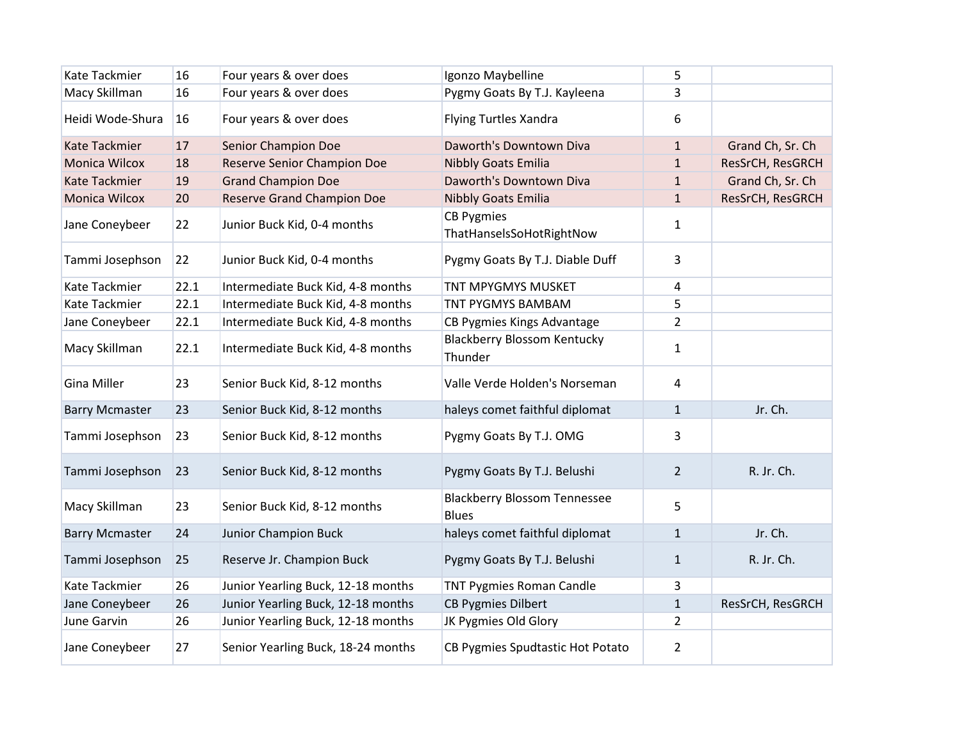| Kate Tackmier         | 16   | Four years & over does             | Igonzo Maybelline                                   | 5              |                  |
|-----------------------|------|------------------------------------|-----------------------------------------------------|----------------|------------------|
| Macy Skillman         | 16   | Four years & over does             | Pygmy Goats By T.J. Kayleena                        | 3              |                  |
| Heidi Wode-Shura      | 16   | Four years & over does             | <b>Flying Turtles Xandra</b>                        | 6              |                  |
| Kate Tackmier         | 17   | Senior Champion Doe                | Daworth's Downtown Diva                             | $\mathbf{1}$   | Grand Ch, Sr. Ch |
| Monica Wilcox         | 18   | <b>Reserve Senior Champion Doe</b> | <b>Nibbly Goats Emilia</b>                          | $\mathbf{1}$   | ResSrCH, ResGRCH |
| <b>Kate Tackmier</b>  | 19   | <b>Grand Champion Doe</b>          | Daworth's Downtown Diva                             | $\mathbf{1}$   | Grand Ch, Sr. Ch |
| Monica Wilcox         | 20   | <b>Reserve Grand Champion Doe</b>  | <b>Nibbly Goats Emilia</b>                          | $\mathbf{1}$   | ResSrCH, ResGRCH |
| Jane Coneybeer        | 22   | Junior Buck Kid, 0-4 months        | <b>CB Pygmies</b><br>ThatHanselsSoHotRightNow       | $\mathbf{1}$   |                  |
| Tammi Josephson       | 22   | Junior Buck Kid, 0-4 months        | Pygmy Goats By T.J. Diable Duff                     | 3              |                  |
| Kate Tackmier         | 22.1 | Intermediate Buck Kid, 4-8 months  | TNT MPYGMYS MUSKET                                  | 4              |                  |
| Kate Tackmier         | 22.1 | Intermediate Buck Kid, 4-8 months  | <b>TNT PYGMYS BAMBAM</b>                            | 5              |                  |
| Jane Coneybeer        | 22.1 | Intermediate Buck Kid, 4-8 months  | CB Pygmies Kings Advantage                          | $\overline{2}$ |                  |
| Macy Skillman         | 22.1 | Intermediate Buck Kid, 4-8 months  | <b>Blackberry Blossom Kentucky</b><br>Thunder       | $\mathbf{1}$   |                  |
| Gina Miller           | 23   | Senior Buck Kid, 8-12 months       | Valle Verde Holden's Norseman                       | 4              |                  |
| <b>Barry Mcmaster</b> | 23   | Senior Buck Kid, 8-12 months       | haleys comet faithful diplomat                      | $\mathbf{1}$   | Jr. Ch.          |
| Tammi Josephson       | 23   | Senior Buck Kid, 8-12 months       | Pygmy Goats By T.J. OMG                             | 3              |                  |
| Tammi Josephson       | 23   | Senior Buck Kid, 8-12 months       | Pygmy Goats By T.J. Belushi                         | $\overline{2}$ | R. Jr. Ch.       |
| Macy Skillman         | 23   | Senior Buck Kid, 8-12 months       | <b>Blackberry Blossom Tennessee</b><br><b>Blues</b> | 5              |                  |
| <b>Barry Mcmaster</b> | 24   | Junior Champion Buck               | haleys comet faithful diplomat                      | $\mathbf{1}$   | Jr. Ch.          |
| Tammi Josephson       | 25   | Reserve Jr. Champion Buck          | Pygmy Goats By T.J. Belushi                         | $\mathbf{1}$   | R. Jr. Ch.       |
| Kate Tackmier         | 26   | Junior Yearling Buck, 12-18 months | <b>TNT Pygmies Roman Candle</b>                     | 3              |                  |
| Jane Coneybeer        | 26   | Junior Yearling Buck, 12-18 months | <b>CB Pygmies Dilbert</b>                           | $\mathbf{1}$   | ResSrCH, ResGRCH |
| June Garvin           | 26   | Junior Yearling Buck, 12-18 months | JK Pygmies Old Glory                                | $\overline{2}$ |                  |
| Jane Coneybeer        | 27   | Senior Yearling Buck, 18-24 months | CB Pygmies Spudtastic Hot Potato                    | $\overline{2}$ |                  |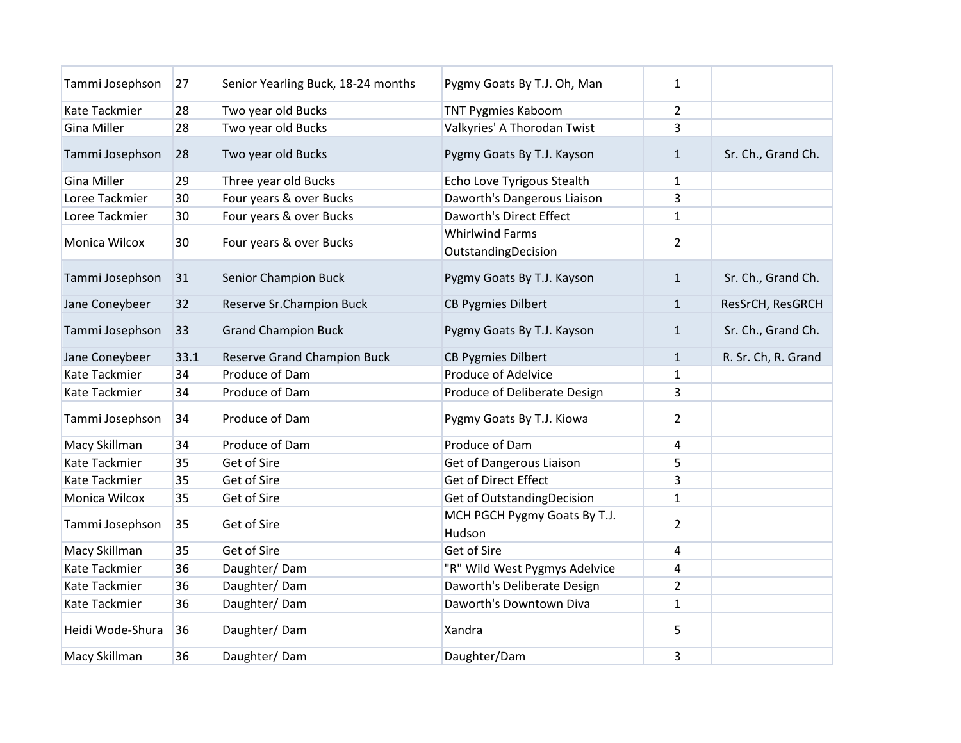| Tammi Josephson      | 27   | Senior Yearling Buck, 18-24 months | Pygmy Goats By T.J. Oh, Man                   | $\mathbf{1}$   |                     |
|----------------------|------|------------------------------------|-----------------------------------------------|----------------|---------------------|
| Kate Tackmier        | 28   | Two year old Bucks                 | <b>TNT Pygmies Kaboom</b>                     | $\overline{2}$ |                     |
| <b>Gina Miller</b>   | 28   | Two year old Bucks                 | Valkyries' A Thorodan Twist                   | 3              |                     |
| Tammi Josephson      | 28   | Two year old Bucks                 | Pygmy Goats By T.J. Kayson                    | $\mathbf{1}$   | Sr. Ch., Grand Ch.  |
| Gina Miller          | 29   | Three year old Bucks               | Echo Love Tyrigous Stealth                    | 1              |                     |
| Loree Tackmier       | 30   | Four years & over Bucks            | Daworth's Dangerous Liaison                   | 3              |                     |
| Loree Tackmier       | 30   | Four years & over Bucks            | <b>Daworth's Direct Effect</b>                | $\mathbf{1}$   |                     |
| Monica Wilcox        | 30   | Four years & over Bucks            | <b>Whirlwind Farms</b><br>OutstandingDecision | $\overline{2}$ |                     |
| Tammi Josephson      | 31   | Senior Champion Buck               | Pygmy Goats By T.J. Kayson                    | $\mathbf{1}$   | Sr. Ch., Grand Ch.  |
| Jane Coneybeer       | 32   | Reserve Sr.Champion Buck           | <b>CB Pygmies Dilbert</b>                     | $\mathbf{1}$   | ResSrCH, ResGRCH    |
| Tammi Josephson      | 33   | <b>Grand Champion Buck</b>         | Pygmy Goats By T.J. Kayson                    | 1              | Sr. Ch., Grand Ch.  |
| Jane Coneybeer       | 33.1 | Reserve Grand Champion Buck        | <b>CB Pygmies Dilbert</b>                     | $\mathbf{1}$   | R. Sr. Ch, R. Grand |
| <b>Kate Tackmier</b> | 34   | Produce of Dam                     | <b>Produce of Adelvice</b>                    | 1              |                     |
| Kate Tackmier        | 34   | Produce of Dam                     | Produce of Deliberate Design                  | 3              |                     |
| Tammi Josephson      | 34   | Produce of Dam                     | Pygmy Goats By T.J. Kiowa                     | $\overline{2}$ |                     |
| Macy Skillman        | 34   | Produce of Dam                     | Produce of Dam                                | 4              |                     |
| <b>Kate Tackmier</b> | 35   | Get of Sire                        | Get of Dangerous Liaison                      | 5              |                     |
| Kate Tackmier        | 35   | Get of Sire                        | <b>Get of Direct Effect</b>                   | 3              |                     |
| Monica Wilcox        | 35   | Get of Sire                        | Get of OutstandingDecision                    | $\mathbf{1}$   |                     |
| Tammi Josephson      | 35   | Get of Sire                        | MCH PGCH Pygmy Goats By T.J.<br>Hudson        | $\overline{2}$ |                     |
| Macy Skillman        | 35   | Get of Sire                        | Get of Sire                                   | 4              |                     |
| <b>Kate Tackmier</b> | 36   | Daughter/Dam                       | "R" Wild West Pygmys Adelvice                 | 4              |                     |
| Kate Tackmier        | 36   | Daughter/Dam                       | Daworth's Deliberate Design                   | $\overline{2}$ |                     |
| Kate Tackmier        | 36   | Daughter/Dam                       | Daworth's Downtown Diva                       | $\mathbf{1}$   |                     |
| Heidi Wode-Shura     | 36   | Daughter/Dam                       | Xandra                                        | 5              |                     |
| Macy Skillman        | 36   | Daughter/Dam                       | Daughter/Dam                                  | 3              |                     |